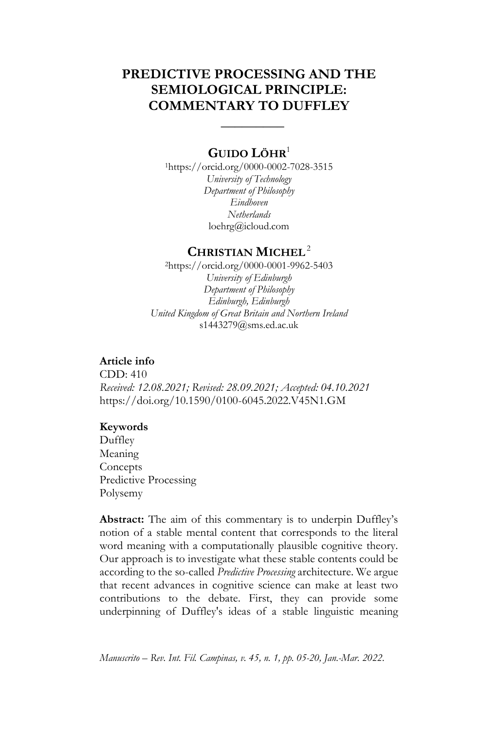# **PREDICTIVE PROCESSING AND THE SEMIOLOGICAL PRINCIPLE: COMMENTARY TO DUFFLEY**

 **\_\_\_\_\_\_\_\_\_**

### **GUIDO L[ÖHR](javascript:popWindow()**<sup>1</sup>

<sup>1</sup>https://orcid.org/0000-0002-7028-3515 *University of Technology Department of Philosophy Eindhoven Netherlands* [loehrg@icloud.com](mailto:loehrg@icloud.com)

### **CHRISTIAN MICHEL**<sup>2</sup>

<sup>2</sup>https://orcid.org/0000-0001-9962-5403 *University of Edinburgh Department of Philosophy Edinburgh, Edinburgh United Kingdom of Great Britain and Northern Ireland* s1443279@sms.ed.ac.uk

### **Article info**

CDD: 410 *Received: 12.08.2021; Revised: 28.09.2021; Accepted: 04.10.2021* https://doi.org/10.1590/0100-6045.2022.V45N1.GM

#### **Keywords**

Duffley Meaning **Concepts** Predictive Processing Polysemy

**Abstract:** The aim of this commentary is to underpin Duffley's notion of a stable mental content that corresponds to the literal word meaning with a computationally plausible cognitive theory. Our approach is to investigate what these stable contents could be according to the so-called *Predictive Processing* architecture. We argue that recent advances in cognitive science can make at least two contributions to the debate. First, they can provide some underpinning of Duffley's ideas of a stable linguistic meaning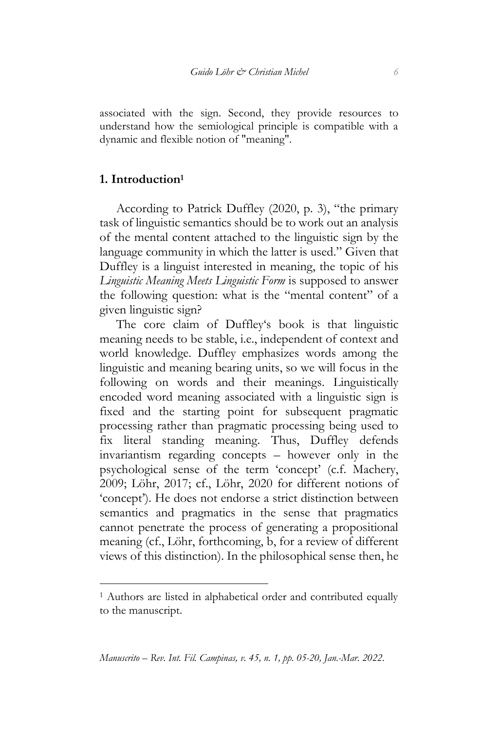associated with the sign. Second, they provide resources to understand how the semiological principle is compatible with a dynamic and flexible notion of "meaning".

#### **1. Introduction<sup>1</sup>**

<u>.</u>

According to Patrick Duffley (2020, p. 3), "the primary task of linguistic semantics should be to work out an analysis of the mental content attached to the linguistic sign by the language community in which the latter is used." Given that Duffley is a linguist interested in meaning, the topic of his *Linguistic Meaning Meets Linguistic Form* is supposed to answer the following question: what is the "mental content" of a given linguistic sign?

The core claim of Duffley's book is that linguistic meaning needs to be stable, i.e., independent of context and world knowledge. Duffley emphasizes words among the linguistic and meaning bearing units, so we will focus in the following on words and their meanings. Linguistically encoded word meaning associated with a linguistic sign is fixed and the starting point for subsequent pragmatic processing rather than pragmatic processing being used to fix literal standing meaning. Thus, Duffley defends invariantism regarding concepts – however only in the psychological sense of the term 'concept' (c.f. Machery, 2009; Löhr, 2017; cf., Löhr, 2020 for different notions of 'concept'). He does not endorse a strict distinction between semantics and pragmatics in the sense that pragmatics cannot penetrate the process of generating a propositional meaning (cf., Löhr, forthcoming, b, for a review of different views of this distinction). In the philosophical sense then, he

<sup>1</sup> Authors are listed in alphabetical order and contributed equally to the manuscript.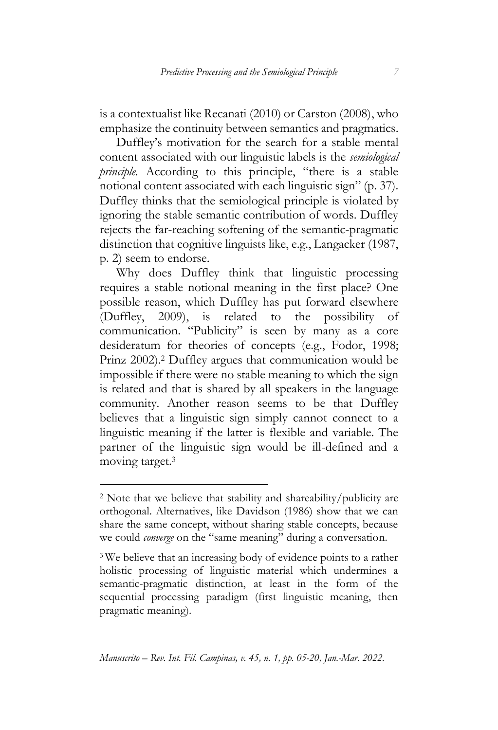is a contextualist like Recanati (2010) or Carston (2008), who emphasize the continuity between semantics and pragmatics.

Duffley's motivation for the search for a stable mental content associated with our linguistic labels is the *semiological principle.* According to this principle, "there is a stable notional content associated with each linguistic sign" (p. 37). Duffley thinks that the semiological principle is violated by ignoring the stable semantic contribution of words. Duffley rejects the far-reaching softening of the semantic-pragmatic distinction that cognitive linguists like, e.g., Langacker (1987, p. 2) seem to endorse.

Why does Duffley think that linguistic processing requires a stable notional meaning in the first place? One possible reason, which Duffley has put forward elsewhere (Duffley, 2009), is related to the possibility of communication. "Publicity" is seen by many as a core desideratum for theories of concepts (e.g., Fodor, 1998; Prinz 2002).<sup>2</sup> Duffley argues that communication would be impossible if there were no stable meaning to which the sign is related and that is shared by all speakers in the language community. Another reason seems to be that Duffley believes that a linguistic sign simply cannot connect to a linguistic meaning if the latter is flexible and variable. The partner of the linguistic sign would be ill-defined and a moving target.<sup>3</sup>

<u>.</u>

<sup>2</sup> Note that we believe that stability and shareability/publicity are orthogonal. Alternatives, like Davidson (1986) show that we can share the same concept, without sharing stable concepts, because we could *converge* on the "same meaning" during a conversation.

<sup>3</sup> We believe that an increasing body of evidence points to a rather holistic processing of linguistic material which undermines a semantic-pragmatic distinction, at least in the form of the sequential processing paradigm (first linguistic meaning, then pragmatic meaning).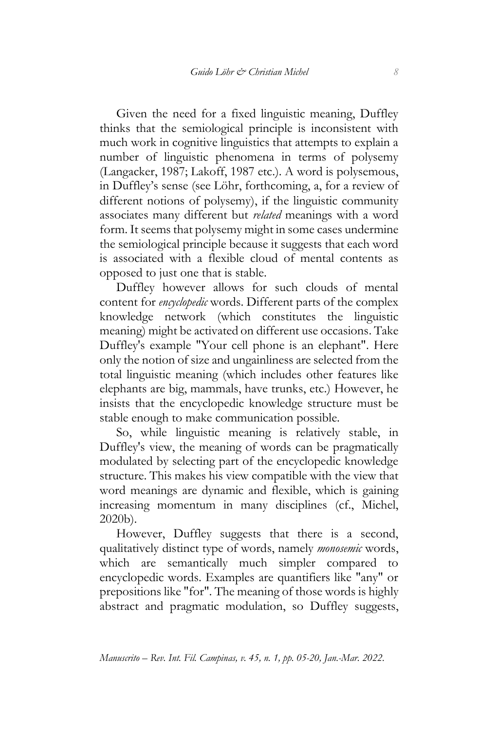Given the need for a fixed linguistic meaning, Duffley thinks that the semiological principle is inconsistent with much work in cognitive linguistics that attempts to explain a number of linguistic phenomena in terms of polysemy (Langacker, 1987; Lakoff, 1987 etc.). A word is polysemous, in Duffley's sense (see Löhr, forthcoming, a, for a review of different notions of polysemy), if the linguistic community associates many different but *related* meanings with a word form. It seems that polysemy might in some cases undermine the semiological principle because it suggests that each word is associated with a flexible cloud of mental contents as opposed to just one that is stable.

Duffley however allows for such clouds of mental content for *encyclopedic* words. Different parts of the complex knowledge network (which constitutes the linguistic meaning) might be activated on different use occasions. Take Duffley's example "Your cell phone is an elephant". Here only the notion of size and ungainliness are selected from the total linguistic meaning (which includes other features like elephants are big, mammals, have trunks, etc.) However, he insists that the encyclopedic knowledge structure must be stable enough to make communication possible.

So, while linguistic meaning is relatively stable, in Duffley's view, the meaning of words can be pragmatically modulated by selecting part of the encyclopedic knowledge structure. This makes his view compatible with the view that word meanings are dynamic and flexible, which is gaining increasing momentum in many disciplines (cf., Michel, 2020b).

However, Duffley suggests that there is a second, qualitatively distinct type of words, namely *monosemic* words, which are semantically much simpler compared to encyclopedic words. Examples are quantifiers like "any" or prepositions like "for". The meaning of those words is highly abstract and pragmatic modulation, so Duffley suggests,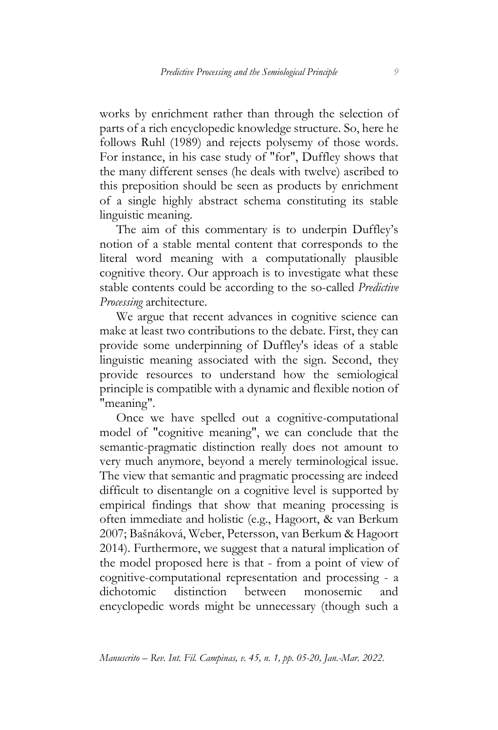works by enrichment rather than through the selection of parts of a rich encyclopedic knowledge structure. So, here he follows Ruhl (1989) and rejects polysemy of those words. For instance, in his case study of "for", Duffley shows that the many different senses (he deals with twelve) ascribed to this preposition should be seen as products by enrichment of a single highly abstract schema constituting its stable linguistic meaning.

The aim of this commentary is to underpin Duffley's notion of a stable mental content that corresponds to the literal word meaning with a computationally plausible cognitive theory. Our approach is to investigate what these stable contents could be according to the so-called *Predictive Processing* architecture.

We argue that recent advances in cognitive science can make at least two contributions to the debate. First, they can provide some underpinning of Duffley's ideas of a stable linguistic meaning associated with the sign. Second, they provide resources to understand how the semiological principle is compatible with a dynamic and flexible notion of "meaning".

Once we have spelled out a cognitive-computational model of "cognitive meaning", we can conclude that the semantic-pragmatic distinction really does not amount to very much anymore, beyond a merely terminological issue. The view that semantic and pragmatic processing are indeed difficult to disentangle on a cognitive level is supported by empirical findings that show that meaning processing is often immediate and holistic (e.g., Hagoort, & van Berkum 2007; Bašnáková, Weber, Petersson, van Berkum & Hagoort 2014). Furthermore, we suggest that a natural implication of the model proposed here is that - from a point of view of cognitive-computational representation and processing - a dichotomic distinction between monosemic and encyclopedic words might be unnecessary (though such a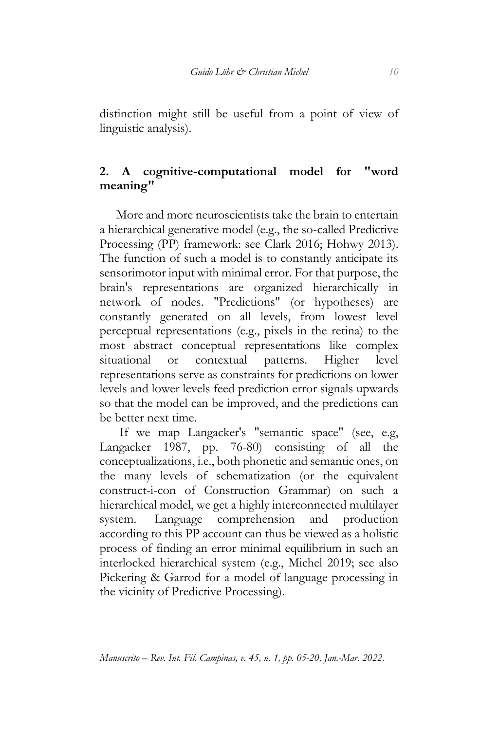distinction might still be useful from a point of view of linguistic analysis).

## **2. A cognitive-computational model for "word meaning"**

More and more neuroscientists take the brain to entertain a hierarchical generative model (e.g., the so-called Predictive Processing (PP) framework: see Clark 2016; Hohwy 2013). The function of such a model is to constantly anticipate its sensorimotor input with minimal error. For that purpose, the brain's representations are organized hierarchically in network of nodes. "Predictions" (or hypotheses) are constantly generated on all levels, from lowest level perceptual representations (e.g., pixels in the retina) to the most abstract conceptual representations like complex situational or contextual patterns. Higher level representations serve as constraints for predictions on lower levels and lower levels feed prediction error signals upwards so that the model can be improved, and the predictions can be better next time.

If we map Langacker's "semantic space" (see, e.g, Langacker 1987, pp. 76-80) consisting of all the conceptualizations, i.e., both phonetic and semantic ones, on the many levels of schematization (or the equivalent construct-i-con of Construction Grammar) on such a hierarchical model, we get a highly interconnected multilayer system. Language comprehension and production according to this PP account can thus be viewed as a holistic process of finding an error minimal equilibrium in such an interlocked hierarchical system (e.g., Michel 2019; see also Pickering & Garrod for a model of language processing in the vicinity of Predictive Processing).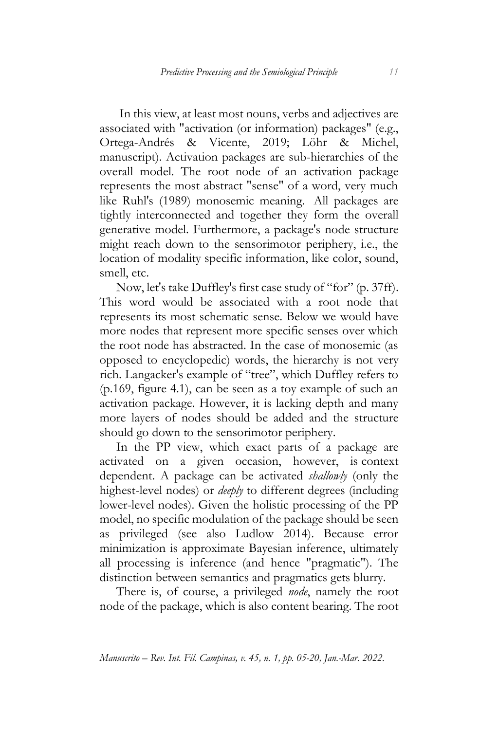In this view, at least most nouns, verbs and adjectives are associated with "activation (or information) packages" (e.g., Ortega-Andrés & Vicente, 2019; Löhr & Michel, manuscript). Activation packages are sub-hierarchies of the overall model. The root node of an activation package represents the most abstract "sense" of a word, very much like Ruhl's (1989) monosemic meaning. All packages are tightly interconnected and together they form the overall generative model. Furthermore, a package's node structure might reach down to the sensorimotor periphery, i.e., the location of modality specific information, like color, sound, smell, etc.

Now, let's take Duffley's first case study of "for" (p. 37ff). This word would be associated with a root node that represents its most schematic sense. Below we would have more nodes that represent more specific senses over which the root node has abstracted. In the case of monosemic (as opposed to encyclopedic) words, the hierarchy is not very rich. Langacker's example of "tree", which Duffley refers to (p.169, figure 4.1), can be seen as a toy example of such an activation package. However, it is lacking depth and many more layers of nodes should be added and the structure should go down to the sensorimotor periphery.

In the PP view, which exact parts of a package are activated on a given occasion, however, is context dependent. A package can be activated *shallowly* (only the highest-level nodes) or *deeply* to different degrees (including lower-level nodes). Given the holistic processing of the PP model, no specific modulation of the package should be seen as privileged (see also Ludlow 2014). Because error minimization is approximate Bayesian inference, ultimately all processing is inference (and hence "pragmatic"). The distinction between semantics and pragmatics gets blurry.

There is, of course, a privileged *node*, namely the root node of the package, which is also content bearing. The root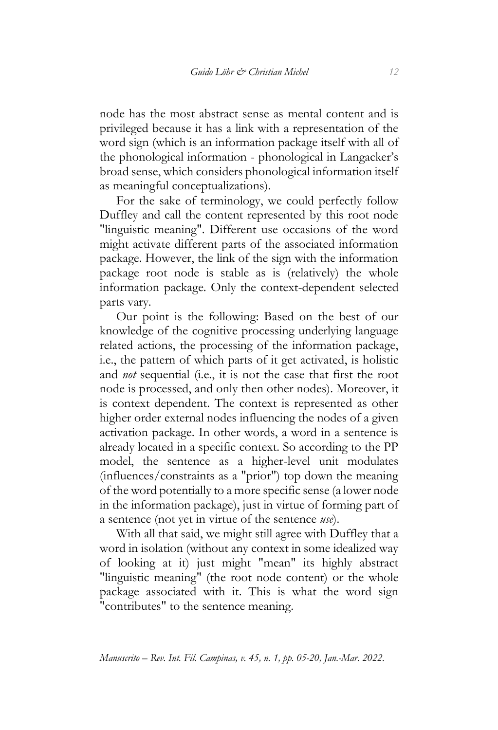node has the most abstract sense as mental content and is privileged because it has a link with a representation of the word sign (which is an information package itself with all of the phonological information - phonological in Langacker's broad sense, which considers phonological information itself as meaningful conceptualizations).

For the sake of terminology, we could perfectly follow Duffley and call the content represented by this root node "linguistic meaning". Different use occasions of the word might activate different parts of the associated information package. However, the link of the sign with the information package root node is stable as is (relatively) the whole information package. Only the context-dependent selected parts vary.

Our point is the following: Based on the best of our knowledge of the cognitive processing underlying language related actions, the processing of the information package, i.e., the pattern of which parts of it get activated, is holistic and *not* sequential (i.e., it is not the case that first the root node is processed, and only then other nodes). Moreover, it is context dependent. The context is represented as other higher order external nodes influencing the nodes of a given activation package. In other words, a word in a sentence is already located in a specific context. So according to the PP model, the sentence as a higher-level unit modulates (influences/constraints as a "prior") top down the meaning of the word potentially to a more specific sense (a lower node in the information package), just in virtue of forming part of a sentence (not yet in virtue of the sentence *use*).

With all that said, we might still agree with Duffley that a word in isolation (without any context in some idealized way of looking at it) just might "mean" its highly abstract "linguistic meaning" (the root node content) or the whole package associated with it. This is what the word sign "contributes" to the sentence meaning.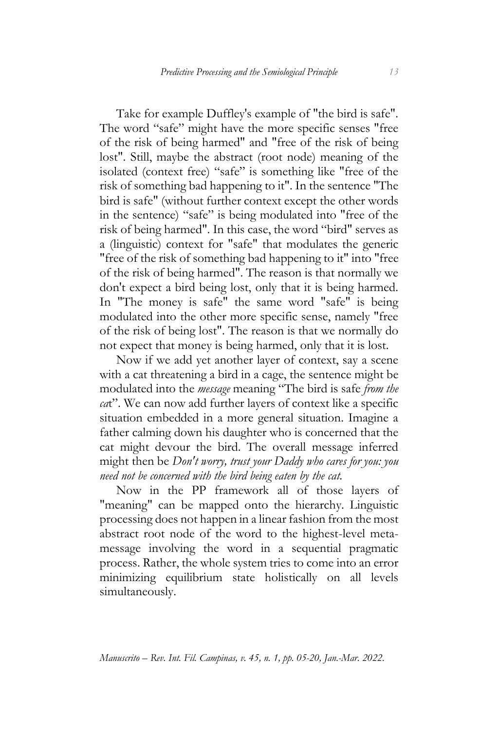Take for example Duffley's example of "the bird is safe". The word "safe" might have the more specific senses "free of the risk of being harmed" and "free of the risk of being lost". Still, maybe the abstract (root node) meaning of the isolated (context free) "safe" is something like "free of the risk of something bad happening to it". In the sentence "The bird is safe" (without further context except the other words in the sentence) "safe" is being modulated into "free of the risk of being harmed". In this case, the word "bird" serves as a (linguistic) context for "safe" that modulates the generic "free of the risk of something bad happening to it" into "free of the risk of being harmed". The reason is that normally we don't expect a bird being lost, only that it is being harmed. In "The money is safe" the same word "safe" is being modulated into the other more specific sense, namely "free of the risk of being lost". The reason is that we normally do not expect that money is being harmed, only that it is lost.

Now if we add yet another layer of context, say a scene with a cat threatening a bird in a cage, the sentence might be modulated into the *message* meaning "The bird is safe *from the ca*t". We can now add further layers of context like a specific situation embedded in a more general situation. Imagine a father calming down his daughter who is concerned that the cat might devour the bird. The overall message inferred might then be *Don't worry, trust your Daddy who cares for you: you need not be concerned with the bird being eaten by the cat.*

Now in the PP framework all of those layers of "meaning" can be mapped onto the hierarchy. Linguistic processing does not happen in a linear fashion from the most abstract root node of the word to the highest-level metamessage involving the word in a sequential pragmatic process. Rather, the whole system tries to come into an error minimizing equilibrium state holistically on all levels simultaneously.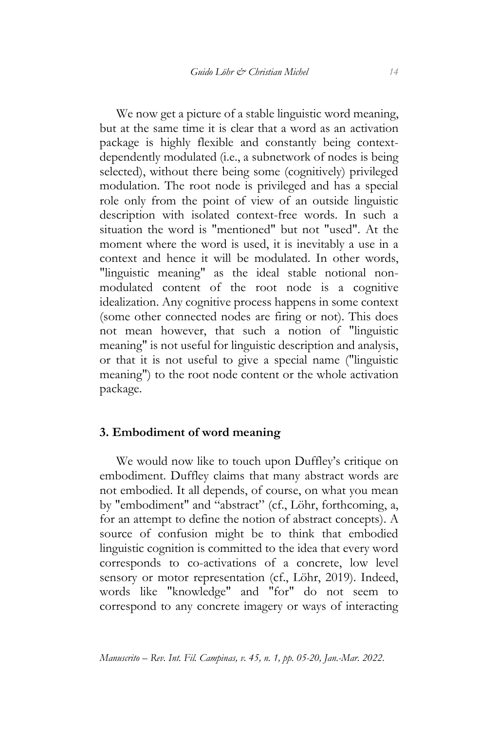We now get a picture of a stable linguistic word meaning, but at the same time it is clear that a word as an activation package is highly flexible and constantly being contextdependently modulated (i.e., a subnetwork of nodes is being selected), without there being some (cognitively) privileged modulation. The root node is privileged and has a special role only from the point of view of an outside linguistic description with isolated context-free words. In such a situation the word is "mentioned" but not "used". At the moment where the word is used, it is inevitably a use in a context and hence it will be modulated. In other words, "linguistic meaning" as the ideal stable notional nonmodulated content of the root node is a cognitive idealization. Any cognitive process happens in some context (some other connected nodes are firing or not). This does not mean however, that such a notion of "linguistic meaning" is not useful for linguistic description and analysis, or that it is not useful to give a special name ("linguistic meaning") to the root node content or the whole activation package.

#### **3. Embodiment of word meaning**

We would now like to touch upon Duffley's critique on embodiment. Duffley claims that many abstract words are not embodied. It all depends, of course, on what you mean by "embodiment" and "abstract" (cf., Löhr, forthcoming, a, for an attempt to define the notion of abstract concepts). A source of confusion might be to think that embodied linguistic cognition is committed to the idea that every word corresponds to co-activations of a concrete, low level sensory or motor representation (cf., Löhr, 2019). Indeed, words like "knowledge" and "for" do not seem to correspond to any concrete imagery or ways of interacting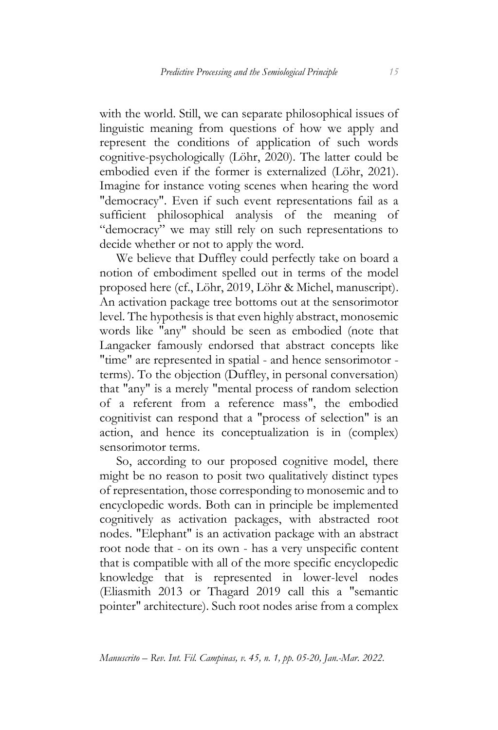with the world. Still, we can separate philosophical issues of linguistic meaning from questions of how we apply and represent the conditions of application of such words cognitive-psychologically (Löhr, 2020). The latter could be embodied even if the former is externalized (Löhr, 2021). Imagine for instance voting scenes when hearing the word "democracy". Even if such event representations fail as a sufficient philosophical analysis of the meaning of "democracy" we may still rely on such representations to decide whether or not to apply the word.

We believe that Duffley could perfectly take on board a notion of embodiment spelled out in terms of the model proposed here (cf., Löhr, 2019, Löhr & Michel, manuscript). An activation package tree bottoms out at the sensorimotor level. The hypothesis is that even highly abstract, monosemic words like "any" should be seen as embodied (note that Langacker famously endorsed that abstract concepts like "time" are represented in spatial - and hence sensorimotor terms). To the objection (Duffley, in personal conversation) that "any" is a merely "mental process of random selection of a referent from a reference mass", the embodied cognitivist can respond that a "process of selection" is an action, and hence its conceptualization is in (complex) sensorimotor terms.

So, according to our proposed cognitive model, there might be no reason to posit two qualitatively distinct types of representation, those corresponding to monosemic and to encyclopedic words. Both can in principle be implemented cognitively as activation packages, with abstracted root nodes. "Elephant" is an activation package with an abstract root node that - on its own - has a very unspecific content that is compatible with all of the more specific encyclopedic knowledge that is represented in lower-level nodes (Eliasmith 2013 or Thagard 2019 call this a "semantic pointer" architecture). Such root nodes arise from a complex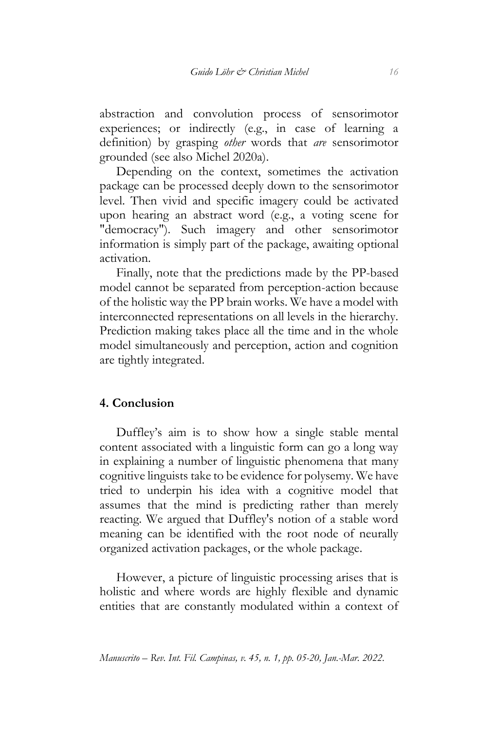abstraction and convolution process of sensorimotor experiences; or indirectly (e.g., in case of learning a definition) by grasping *other* words that *are* sensorimotor grounded (see also Michel 2020a).

Depending on the context, sometimes the activation package can be processed deeply down to the sensorimotor level. Then vivid and specific imagery could be activated upon hearing an abstract word (e.g., a voting scene for "democracy"). Such imagery and other sensorimotor information is simply part of the package, awaiting optional activation.

Finally, note that the predictions made by the PP-based model cannot be separated from perception-action because of the holistic way the PP brain works. We have a model with interconnected representations on all levels in the hierarchy. Prediction making takes place all the time and in the whole model simultaneously and perception, action and cognition are tightly integrated.

### **4. Conclusion**

Duffley's aim is to show how a single stable mental content associated with a linguistic form can go a long way in explaining a number of linguistic phenomena that many cognitive linguists take to be evidence for polysemy. We have tried to underpin his idea with a cognitive model that assumes that the mind is predicting rather than merely reacting. We argued that Duffley's notion of a stable word meaning can be identified with the root node of neurally organized activation packages, or the whole package.

However, a picture of linguistic processing arises that is holistic and where words are highly flexible and dynamic entities that are constantly modulated within a context of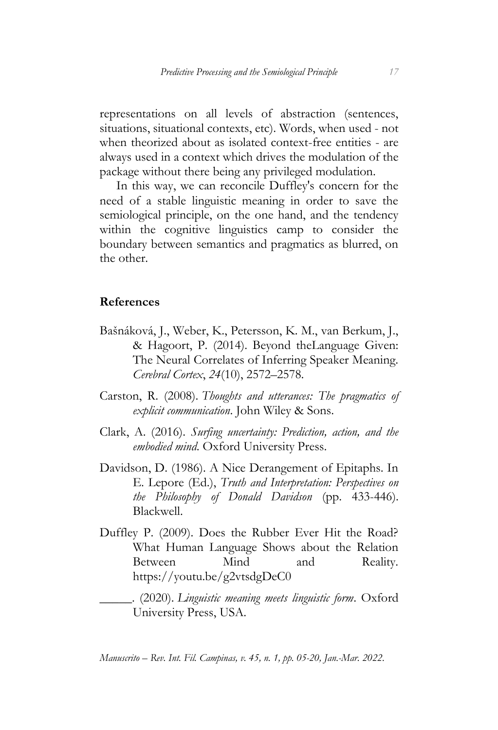representations on all levels of abstraction (sentences, situations, situational contexts, etc). Words, when used - not when theorized about as isolated context-free entities - are always used in a context which drives the modulation of the package without there being any privileged modulation.

In this way, we can reconcile Duffley's concern for the need of a stable linguistic meaning in order to save the semiological principle, on the one hand, and the tendency within the cognitive linguistics camp to consider the boundary between semantics and pragmatics as blurred, on the other.

#### **References**

- Bašnáková, J., Weber, K., Petersson, K. M., van Berkum, J., & Hagoort, P. (2014). Beyond theLanguage Given: The Neural Correlates of Inferring Speaker Meaning. *Cerebral Cortex*, *24*(10), 2572–2578.
- Carston, R. (2008). *Thoughts and utterances: The pragmatics of explicit communication*. John Wiley & Sons.
- Clark, A. (2016). *Surfing uncertainty: Prediction, action, and the embodied mind*. Oxford University Press.
- Davidson, D. (1986). A Nice Derangement of Epitaphs. In E. Lepore (Ed.), *Truth and Interpretation: Perspectives on the Philosophy of Donald Davidson* (pp. 433-446). Blackwell.
- Duffley P. (2009). Does the Rubber Ever Hit the Road? What Human Language Shows about the Relation Between Mind and Reality. <https://youtu.be/g2vtsdgDeC0>

\_\_\_\_\_. (2020). *Linguistic meaning meets linguistic form*. Oxford University Press, USA.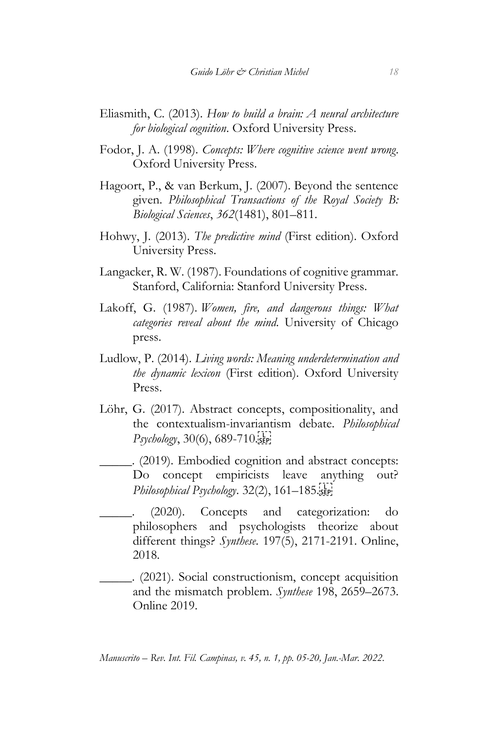- Eliasmith, C. (2013). *How to build a brain: A neural architecture for biological cognition*. Oxford University Press.
- Fodor, J. A. (1998). *Concepts: Where cognitive science went wrong*. Oxford University Press.
- Hagoort, P., & van Berkum, J. (2007). Beyond the sentence given. *Philosophical Transactions of the Royal Society B: Biological Sciences*, *362*(1481), 801–811.
- Hohwy, J. (2013). *The predictive mind* (First edition). Oxford University Press.
- Langacker, R. W. (1987). Foundations of cognitive grammar. Stanford, California: Stanford University Press.
- Lakoff, G. (1987). *Women, fire, and dangerous things: What categories reveal about the mind*. University of Chicago press.
- Ludlow, P. (2014). *Living words: Meaning underdetermination and the dynamic lexicon* (First edition). Oxford University Press.
- Löhr, G. (2017). Abstract concepts, compositionality, and the contextualism-invariantism debate. *Philosophical Psychology*, 30(6), 689-710.
- \_\_\_\_\_. (2019). Embodied cognition and abstract concepts: Do concept empiricists leave anything out? *Philosophical Psychology*. 32(2), 161–185.
- \_\_\_\_\_. (2020). Concepts and categorization: do philosophers and psychologists theorize about different things? *Synthese*. 197(5), 2171-2191. Online, 2018.
- \_\_\_\_\_. (2021). Social constructionism, concept acquisition and the mismatch problem. *Synthese* 198, 2659–2673. Online 2019.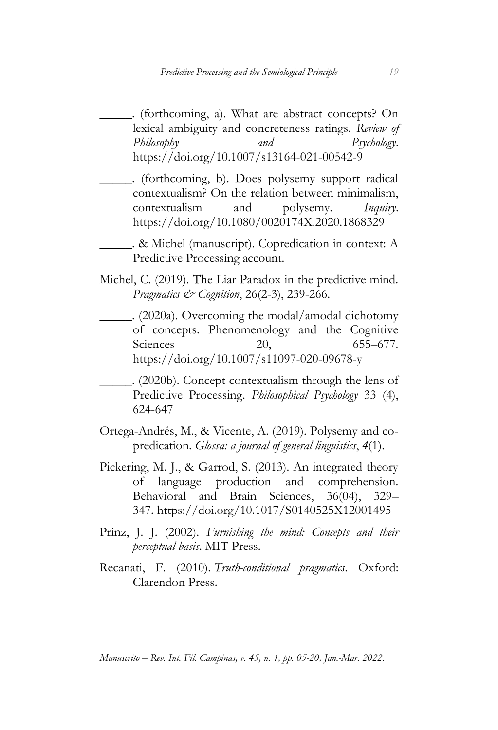\_\_\_\_\_. (forthcoming, a). What are abstract concepts? On lexical ambiguity and concreteness ratings. *Review of Philosophy and Psychology*. https://doi.org/10.1007/s13164-021-00542-9

\_\_\_\_\_. (forthcoming, b). Does polysemy support radical contextualism? On the relation between minimalism, contextualism and polysemy. *Inquiry*. https://doi.org/10.1080/0020174X.2020.1868329

\_\_\_\_\_. & Michel (manuscript). Copredication in context: A Predictive Processing account.

Michel, C. (2019). The Liar Paradox in the predictive mind. *Pragmatics & Cognition*, 26(2-3), 239-266.

\_\_\_\_\_. (2020a). Overcoming the modal/amodal dichotomy of concepts. Phenomenology and the Cognitive Sciences 20, 655–677. https://doi.org/10.1007/s11097-020-09678-y

\_\_\_\_\_. (2020b). [Concept contextualism through the lens of](https://scholar.google.com/citations?view_op=view_citation&hl=es&user=L-RQwLkAAAAJ&citation_for_view=L-RQwLkAAAAJ:d1gkVwhDpl0C)  [Predictive Processing.](https://scholar.google.com/citations?view_op=view_citation&hl=es&user=L-RQwLkAAAAJ&citation_for_view=L-RQwLkAAAAJ:d1gkVwhDpl0C) *Philosophical Psychology* 33 (4), 624-647

Ortega-Andrés, M., & Vicente, A. (2019). Polysemy and copredication. *Glossa: a journal of general linguistics*, *4*(1).

- Pickering, M. J., & Garrod, S. (2013). An integrated theory of language production and comprehension. Behavioral and Brain Sciences, 36(04), 329– 347. <https://doi.org/10.1017/S0140525X12001495>
- Prinz, J. J. (2002). *Furnishing the mind: Concepts and their perceptual basis*. MIT Press.
- Recanati, F. (2010). *Truth-conditional pragmatics*. Oxford: Clarendon Press.